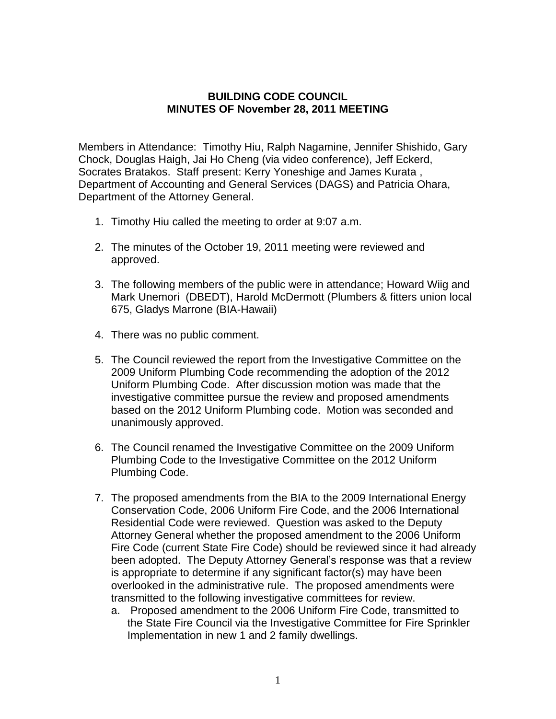## **BUILDING CODE COUNCIL MINUTES OF November 28, 2011 MEETING**

Members in Attendance: Timothy Hiu, Ralph Nagamine, Jennifer Shishido, Gary Chock, Douglas Haigh, Jai Ho Cheng (via video conference), Jeff Eckerd, Socrates Bratakos. Staff present: Kerry Yoneshige and James Kurata , Department of Accounting and General Services (DAGS) and Patricia Ohara, Department of the Attorney General.

- 1. Timothy Hiu called the meeting to order at 9:07 a.m.
- 2. The minutes of the October 19, 2011 meeting were reviewed and approved.
- 3. The following members of the public were in attendance; Howard Wiig and Mark Unemori (DBEDT), Harold McDermott (Plumbers & fitters union local 675, Gladys Marrone (BIA-Hawaii)
- 4. There was no public comment.
- 5. The Council reviewed the report from the Investigative Committee on the 2009 Uniform Plumbing Code recommending the adoption of the 2012 Uniform Plumbing Code. After discussion motion was made that the investigative committee pursue the review and proposed amendments based on the 2012 Uniform Plumbing code. Motion was seconded and unanimously approved.
- 6. The Council renamed the Investigative Committee on the 2009 Uniform Plumbing Code to the Investigative Committee on the 2012 Uniform Plumbing Code.
- 7. The proposed amendments from the BIA to the 2009 International Energy Conservation Code, 2006 Uniform Fire Code, and the 2006 International Residential Code were reviewed. Question was asked to the Deputy Attorney General whether the proposed amendment to the 2006 Uniform Fire Code (current State Fire Code) should be reviewed since it had already been adopted. The Deputy Attorney General's response was that a review is appropriate to determine if any significant factor(s) may have been overlooked in the administrative rule. The proposed amendments were transmitted to the following investigative committees for review.
	- a. Proposed amendment to the 2006 Uniform Fire Code, transmitted to the State Fire Council via the Investigative Committee for Fire Sprinkler Implementation in new 1 and 2 family dwellings.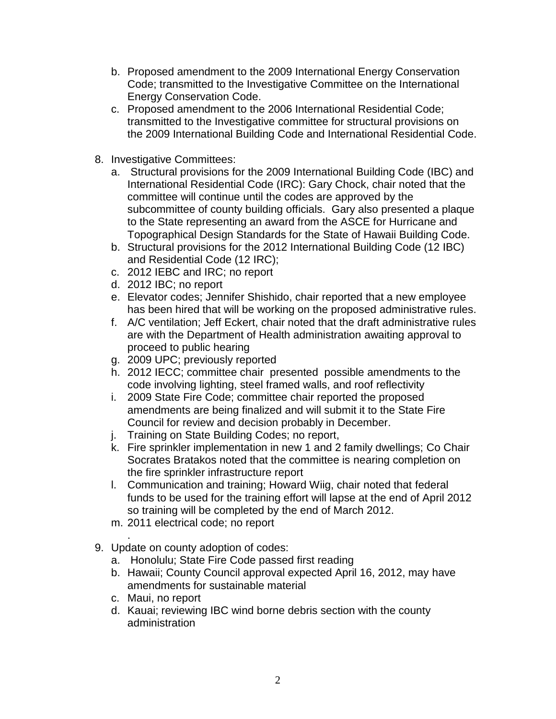- b. Proposed amendment to the 2009 International Energy Conservation Code; transmitted to the Investigative Committee on the International Energy Conservation Code.
- c. Proposed amendment to the 2006 International Residential Code; transmitted to the Investigative committee for structural provisions on the 2009 International Building Code and International Residential Code.
- 8. Investigative Committees:
	- a. Structural provisions for the 2009 International Building Code (IBC) and International Residential Code (IRC): Gary Chock, chair noted that the committee will continue until the codes are approved by the subcommittee of county building officials. Gary also presented a plaque to the State representing an award from the ASCE for Hurricane and Topographical Design Standards for the State of Hawaii Building Code.
	- b. Structural provisions for the 2012 International Building Code (12 IBC) and Residential Code (12 IRC);
	- c. 2012 IEBC and IRC; no report
	- d. 2012 IBC; no report
	- e. Elevator codes; Jennifer Shishido, chair reported that a new employee has been hired that will be working on the proposed administrative rules.
	- f. A/C ventilation; Jeff Eckert, chair noted that the draft administrative rules are with the Department of Health administration awaiting approval to proceed to public hearing
	- g. 2009 UPC; previously reported
	- h. 2012 IECC; committee chair presented possible amendments to the code involving lighting, steel framed walls, and roof reflectivity
	- i. 2009 State Fire Code; committee chair reported the proposed amendments are being finalized and will submit it to the State Fire Council for review and decision probably in December.
	- j. Training on State Building Codes; no report,
	- k. Fire sprinkler implementation in new 1 and 2 family dwellings; Co Chair Socrates Bratakos noted that the committee is nearing completion on the fire sprinkler infrastructure report
	- l. Communication and training; Howard Wiig, chair noted that federal funds to be used for the training effort will lapse at the end of April 2012 so training will be completed by the end of March 2012.
	- m. 2011 electrical code; no report
- . 9. Update on county adoption of codes:
	- a. Honolulu; State Fire Code passed first reading
	- b. Hawaii; County Council approval expected April 16, 2012, may have amendments for sustainable material
	- c. Maui, no report
	- d. Kauai; reviewing IBC wind borne debris section with the county administration